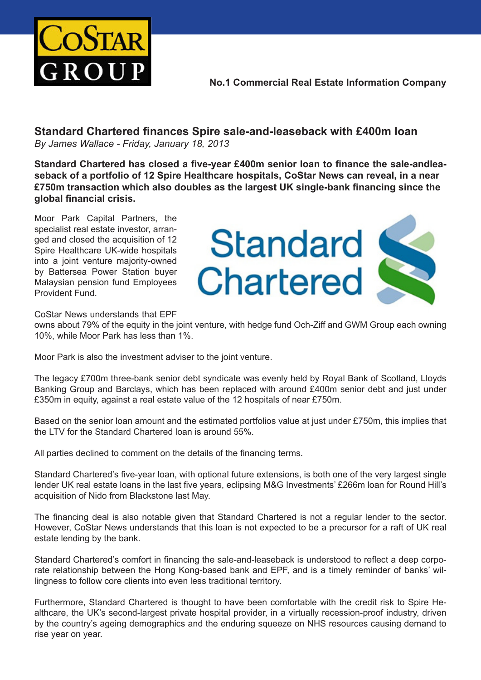

**No.1 Commercial Real Estate Information Company**

**Standard Chartered finances Spire sale-and-leaseback with £400m loan** *By James Wallace - Friday, January 18, 2013*

**Standard Chartered has closed a five-year £400m senior loan to finance the sale-andleaseback of a portfolio of 12 Spire Healthcare hospitals, CoStar News can reveal, in a near £750m transaction which also doubles as the largest UK single-bank financing since the global financial crisis.**

Moor Park Capital Partners, the specialist real estate investor, arranged and closed the acquisition of 12 Spire Healthcare UK-wide hospitals into a joint venture majority-owned by Battersea Power Station buyer Malaysian pension fund Employees Provident Fund.



CoStar News understands that EPF

owns about 79% of the equity in the joint venture, with hedge fund Och-Ziff and GWM Group each owning 10%, while Moor Park has less than 1%.

Moor Park is also the investment adviser to the joint venture.

The legacy £700m three-bank senior debt syndicate was evenly held by Royal Bank of Scotland, Lloyds Banking Group and Barclays, which has been replaced with around £400m senior debt and just under £350m in equity, against a real estate value of the 12 hospitals of near £750m.

Based on the senior loan amount and the estimated portfolios value at just under £750m, this implies that the LTV for the Standard Chartered loan is around 55%.

All parties declined to comment on the details of the financing terms.

Standard Chartered's five-year loan, with optional future extensions, is both one of the very largest single lender UK real estate loans in the last five years, eclipsing M&G Investments' £266m loan for Round Hill's acquisition of Nido from Blackstone last May.

The financing deal is also notable given that Standard Chartered is not a regular lender to the sector. However, CoStar News understands that this loan is not expected to be a precursor for a raft of UK real estate lending by the bank.

Standard Chartered's comfort in financing the sale-and-leaseback is understood to reflect a deep corporate relationship between the Hong Kong-based bank and EPF, and is a timely reminder of banks' willingness to follow core clients into even less traditional territory.

Furthermore, Standard Chartered is thought to have been comfortable with the credit risk to Spire Healthcare, the UK's second-largest private hospital provider, in a virtually recession-proof industry, driven by the country's ageing demographics and the enduring squeeze on NHS resources causing demand to rise year on year.